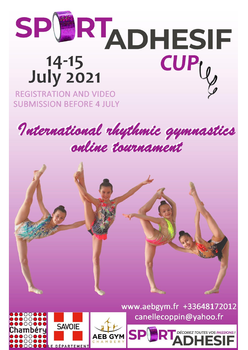

**SUBMISSION BEFORE 4 JULY** 





**SAVOIE DÉPARTEMENT** 

www.aebgym.fr +33648172012 canellecoppin@yahoo.fr

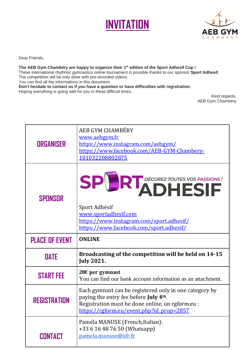



Dear Friends,

## **The AEB Gym Chambéry are happy to organize their 1 st edition of the Sport Adhesif Cup !**

These international rhythmic gymnastics online tournament is possible thanks to our sponsor **Sport Adhesif**. The competition will be only done with pre-recorded videos.

You can find all the informations in this document.

**Don't hesitate to contact us if you have a question or have difficulties with registration.** Hoping everything is going well for you in these difficult times.

Kind regards, AEB Gym Chambéry

| <b>ORGANISER</b>      | AEB GYM CHAMBÉRY<br>www.aebgym.fr<br>https://www.instagram.com/aebgym/<br>https://www.facebook.com/AEB-GYM-Chambery-<br>101032208802875                                                                      |  |
|-----------------------|--------------------------------------------------------------------------------------------------------------------------------------------------------------------------------------------------------------|--|
| SPONSOR               | SPERTADHESIF<br>Sport Adhésif<br>www.sportadhesif.com<br>https://www.instagram.com/sport.adhesif/<br>https://www.facebook.com/sport.adhesif/                                                                 |  |
|                       | <b>ONLINE</b>                                                                                                                                                                                                |  |
| <b>PLACE OF EVENT</b> |                                                                                                                                                                                                              |  |
| <b>DATE</b>           | Broadcasting of the competition will be held on 14-15<br><b>July 2021.</b>                                                                                                                                   |  |
| <b>START FEE</b>      | 20€ per gymnast<br>You can find our bank account information as an attachment.                                                                                                                               |  |
| <b>REGISTRATION</b>   | Each gymnast can be registered only in one category by<br>paying the entry fee before July 4 <sup>th</sup> .<br>Registration must be done online, on rgform.eu :<br>https://rgform.eu/event.php?id_prop=2857 |  |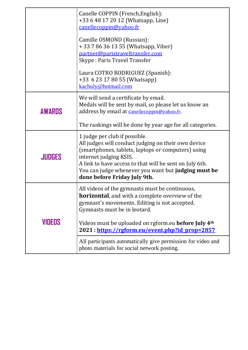|               | Canelle COPPIN (French, English):<br>+33 6 48 17 20 12 (Whatsapp, Line)<br>canellecoppin@yahoo.fr<br>Camille OSMOND (Russian):<br>+ 33 7 86 36 13 55 (Whatsapp, Viber)<br>partner@paristraveltransfer.com<br>Skype: Paris Travel Transfer<br>Laura COTRO RODRIGUEZ (Spanish):<br>+33 6 23 17 80 55 (Whatsapp)<br>kachuly@hotmail.com                                                                                       |
|---------------|----------------------------------------------------------------------------------------------------------------------------------------------------------------------------------------------------------------------------------------------------------------------------------------------------------------------------------------------------------------------------------------------------------------------------|
| <b>AWARDS</b> | We will send a certificate by email.<br>Medals will be sent by mail, so please let us know an<br>address by email at canellecoppin@yahoo.fr.<br>The rankings will be done by year age for all categories.                                                                                                                                                                                                                  |
| JIUDGES       | 1 judge per club if possible.<br>All judges will conduct judging on their own device<br>(smartphones, tablets, laptops or computers) using<br>internet judging KSIS.<br>A link to have access to that will be sent on July 6th.<br>You can judge whenever you want but judging must be<br>done before Friday July 9th.                                                                                                     |
| VIDEOS        | All videos of the gymnasts must be continuous,<br><b>horizontal</b> , and with a complete overview of the<br>gymnast's movements. Editing is not accepted.<br>Gymnasts must be in leotard.<br>Videos must be uploaded on rgform.eu <b>before July 4th</b><br>2021: https://rgform.eu/event.php?id_prop=2857<br>All participants automatically give permission for video and<br>photo materials for social network posting. |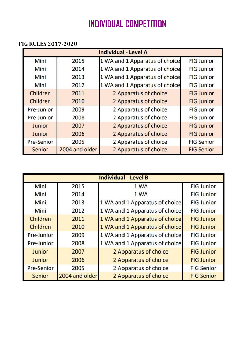## **INDIVIDUAL COMPETITION**

## **FIG RULES 2017-2020**

| <b>Individual - Level A</b> |                |                                |                   |
|-----------------------------|----------------|--------------------------------|-------------------|
| Mini                        | 2015           | 1 WA and 1 Apparatus of choice | <b>FIG Junior</b> |
| Mini                        | 2014           | 1 WA and 1 Apparatus of choice | <b>FIG Junior</b> |
| Mini                        | 2013           | 1 WA and 1 Apparatus of choice | <b>FIG Junior</b> |
| Mini                        | 2012           | 1 WA and 1 Apparatus of choice | <b>FIG Junior</b> |
| Children                    | 2011           | 2 Apparatus of choice          | <b>FIG Junior</b> |
| Children                    | 2010           | 2 Apparatus of choice          | <b>FIG Junior</b> |
| Pre-Junior                  | 2009           | 2 Apparatus of choice          | <b>FIG Junior</b> |
| Pre-Junior                  | 2008           | 2 Apparatus of choice          | <b>FIG Junior</b> |
| Junior                      | 2007           | 2 Apparatus of choice          | <b>FIG Junior</b> |
| Junior                      | 2006           | 2 Apparatus of choice          | <b>FIG Junior</b> |
| <b>Pre-Senior</b>           | 2005           | 2 Apparatus of choice          | <b>FIG Senior</b> |
| Senior                      | 2004 and older | 2 Apparatus of choice          | <b>FIG Senior</b> |

| <b>Individual - Level B</b> |                |                                |                   |
|-----------------------------|----------------|--------------------------------|-------------------|
| Mini                        | 2015           | 1 WA                           | <b>FIG Junior</b> |
| Mini                        | 2014           | 1 WA                           | <b>FIG Junior</b> |
| <b>Mini</b>                 | 2013           | 1 WA and 1 Apparatus of choice | <b>FIG Junior</b> |
| <b>Mini</b>                 | 2012           | 1 WA and 1 Apparatus of choice | <b>FIG Junior</b> |
| Children                    | 2011           | 1 WA and 1 Apparatus of choice | <b>FIG Junior</b> |
| Children                    | 2010           | 1 WA and 1 Apparatus of choice | <b>FIG Junior</b> |
| Pre-Junior                  | 2009           | 1 WA and 1 Apparatus of choice | <b>FIG Junior</b> |
| Pre-Junior                  | 2008           | 1 WA and 1 Apparatus of choice | <b>FIG Junior</b> |
| Junior                      | 2007           | 2 Apparatus of choice          | <b>FIG Junior</b> |
| Junior                      | 2006           | 2 Apparatus of choice          | <b>FIG Junior</b> |
| <b>Pre-Senior</b>           | 2005           | 2 Apparatus of choice          | <b>FIG Senior</b> |
| Senior                      | 2004 and older | 2 Apparatus of choice          | <b>FIG Senior</b> |